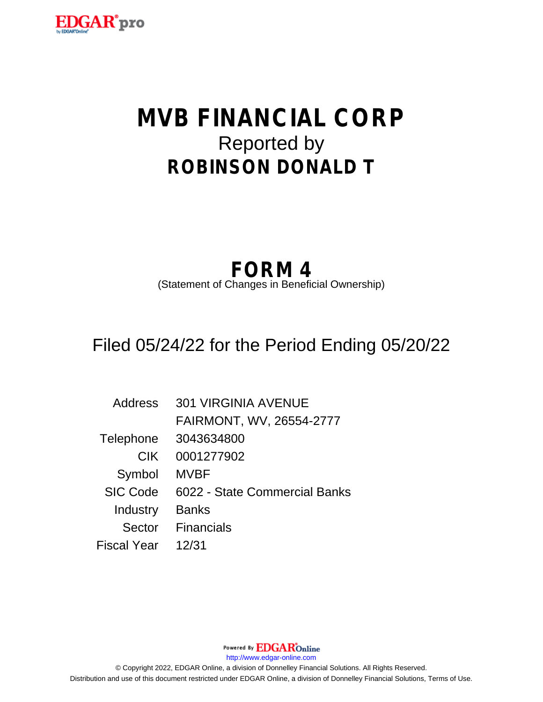

# **MVB FINANCIAL CORP** Reported by **ROBINSON DONALD T**

# **FORM 4**

(Statement of Changes in Beneficial Ownership)

# Filed 05/24/22 for the Period Ending 05/20/22

| Address            | <b>301 VIRGINIA AVENUE</b>    |
|--------------------|-------------------------------|
|                    | FAIRMONT, WV, 26554-2777      |
| Telephone          | 3043634800                    |
| <b>CIK</b>         | 0001277902                    |
| Symbol             | <b>MVBF</b>                   |
| <b>SIC Code</b>    | 6022 - State Commercial Banks |
| Industry           | <b>Banks</b>                  |
| Sector             | <b>Financials</b>             |
| <b>Fiscal Year</b> | 12/31                         |

Powered By **EDGAR**Online http://www.edgar-online.com © Copyright 2022, EDGAR Online, a division of Donnelley Financial Solutions. All Rights Reserved. Distribution and use of this document restricted under EDGAR Online, a division of Donnelley Financial Solutions, Terms of Use.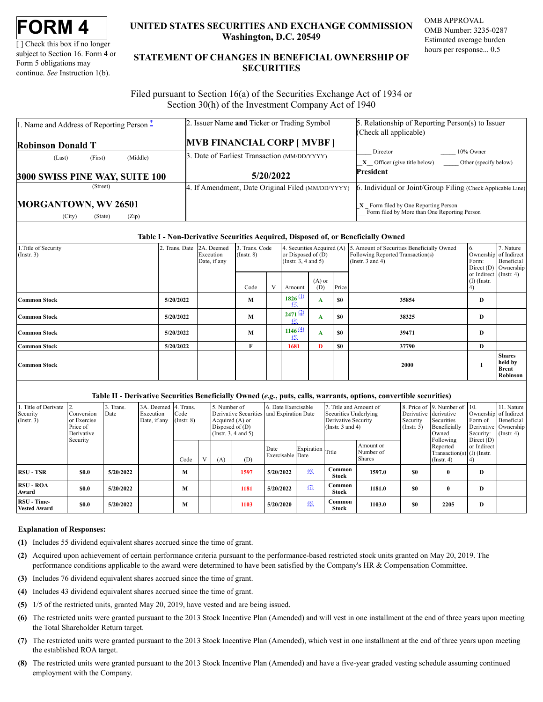[] Check this box if no longer subject to Section 16. Form 4 or Form 5 obligations may continue. See Instruction 1(b).

# UNITED STATES SECURITIES AND EXCHANGE COMMISSION Washington, D.C. 20549

**OMB APPROVAL** OMB Number: 3235-0287 Estimated average burden hours per response... 0.5

# STATEMENT OF CHANGES IN BENEFICIAL OWNERSHIP OF **SECURITIES**

Filed pursuant to Section 16(a) of the Securities Exchange Act of 1934 or Section 30(h) of the Investment Company Act of 1940

| 1. Name and Address of Reporting Person $\ddot{=}$ | 2. Issuer Name and Ticker or Trading Symbol       | 5. Relationship of Reporting Person(s) to Issuer            |  |  |  |  |
|----------------------------------------------------|---------------------------------------------------|-------------------------------------------------------------|--|--|--|--|
|                                                    |                                                   | (Check all applicable)                                      |  |  |  |  |
| <b>Robinson Donald T</b>                           | <b>MVB FINANCIAL CORP [ MVBF ]</b>                |                                                             |  |  |  |  |
| (Middle)<br>(First)<br>(Last)                      | 3. Date of Earliest Transaction (MM/DD/YYYY)      | 10% Owner<br>Director                                       |  |  |  |  |
|                                                    |                                                   | $X$ Officer (give title below) Other (specify below)        |  |  |  |  |
|                                                    |                                                   |                                                             |  |  |  |  |
|                                                    | 5/20/2022                                         | President                                                   |  |  |  |  |
| 3000 SWISS PINE WAY, SUITE 100<br>(Street)         | 4. If Amendment, Date Original Filed (MM/DD/YYYY) | 6. Individual or Joint/Group Filing (Check Applicable Line) |  |  |  |  |

#### Table I - Non-Derivative Securities Acquired, Disposed of, or Beneficially Owned

| 1. Title of Security<br>$($ Instr. 3) | 2. Trans. Date 2A. Deemed | Execution<br>Date, if any | 3. Trans. Code<br>$($ Instr. $8)$ |   | 4. Securities Acquired (A)<br>or Disposed of $(D)$<br>(Instr. $3, 4$ and $5$ ) |                 |           | 5. Amount of Securities Beneficially Owned<br>Following Reported Transaction(s)<br>(Instr. $3$ and $4$ ) | b.<br>Form:                             | 7. Nature<br>Ownership of Indirect<br>Beneficial<br>Direct (D) Ownership |
|---------------------------------------|---------------------------|---------------------------|-----------------------------------|---|--------------------------------------------------------------------------------|-----------------|-----------|----------------------------------------------------------------------------------------------------------|-----------------------------------------|--------------------------------------------------------------------------|
|                                       |                           |                           | Code                              | V | Amount                                                                         | $(A)$ or<br>(D) | Price     |                                                                                                          | or Indirect (Instr. 4)<br>$(I)$ (Instr. |                                                                          |
| <b>Common Stock</b>                   | 5/20/2022                 |                           | M                                 |   | $1826$ <sup>(1)</sup><br>(2)                                                   | A               | <b>SO</b> | 35854                                                                                                    | D                                       |                                                                          |
| <b>Common Stock</b>                   | 5/20/2022                 |                           | M                                 |   | $2471$ $(2)$<br>(3)                                                            | A               | <b>SO</b> | 38325                                                                                                    | D                                       |                                                                          |
| <b>Common Stock</b>                   | 5/20/2022                 |                           | M                                 |   | 1146(4)<br>(5)                                                                 | A               | <b>SO</b> | 39471                                                                                                    | D                                       |                                                                          |
| <b>Common Stock</b>                   | 5/20/2022                 |                           | F                                 |   | 1681                                                                           | D               | <b>SO</b> | 37790                                                                                                    | D                                       |                                                                          |
| <b>Common Stock</b>                   |                           |                           |                                   |   |                                                                                |                 |           | 2000                                                                                                     |                                         | <b>Shares</b><br>held by<br><b>Brent</b><br>Robinson                     |

# Table II - Derivative Securities Beneficially Owned (e.g., puts, calls, warrants, options, convertible securities)

| 1. Title of Derivate<br>Security<br>$($ Instr. 3) | Conversion<br>or Exercise<br>Price of<br>Derivative | 3. Trans.<br>Date | 3A. Deemed 4. Trans.<br>Execution<br>Date, if any | Code<br>$($ Instr. $8)$ |   | 5. Number of<br>Derivative Securities and Expiration Date<br>Acquired (A) or<br>Disposed of $(D)$<br>(Instr. $3, 4$ and $5$ ) |      | 6. Date Exercisable      |                  | 7. Title and Amount of<br>Securities Underlying<br>Derivative Security<br>(Instr. $3$ and $4$ ) |                                         | Derivative derivative<br>Security<br>$($ Instr. 5 $)$ | 8. Price of 19. Number of 10.<br>Securities<br>Beneficially<br>Owned      | Ownership of Indirect<br>Form of<br>Security: | 11. Nature<br>Beneficial<br>Derivative Ownership<br>$($ Instr. 4 $)$ |
|---------------------------------------------------|-----------------------------------------------------|-------------------|---------------------------------------------------|-------------------------|---|-------------------------------------------------------------------------------------------------------------------------------|------|--------------------------|------------------|-------------------------------------------------------------------------------------------------|-----------------------------------------|-------------------------------------------------------|---------------------------------------------------------------------------|-----------------------------------------------|----------------------------------------------------------------------|
|                                                   | Security                                            |                   |                                                   | Code                    | V | (A)                                                                                                                           | (D)  | Date<br>Exercisable Date | Expiration Title |                                                                                                 | Amount or<br>Number of<br><b>Shares</b> |                                                       | Following<br>Reported<br>Transaction(s) $(I)$ (Instr.<br>$($ Instr. 4 $)$ | Direct $(D)$<br>or Indirect                   |                                                                      |
| <b>RSU - TSR</b>                                  | \$0.0                                               | 5/20/2022         |                                                   | M                       |   |                                                                                                                               | 1597 | 5/20/2022                | (6)              | Common<br>Stock                                                                                 | 1597.0                                  | \$0                                                   | $\mathbf{0}$                                                              | D                                             |                                                                      |
| <b>RSU - ROA</b><br>Award                         | <b>SO.O</b>                                         | 5/20/2022         |                                                   | M                       |   |                                                                                                                               | 1181 | 5/20/2022                | (2)              | Common<br><b>Stock</b>                                                                          | 1181.0                                  | \$0                                                   | $\mathbf{0}$                                                              | $\bf{D}$                                      |                                                                      |
| RSU - Time-<br><b>Vested Award</b>                | <b>SO.O</b>                                         | 5/20/2022         |                                                   | М                       |   |                                                                                                                               | 1103 | 5/20/2020                | (8)              | Common<br>Stock                                                                                 | 1103.0                                  | \$0                                                   | 2205                                                                      | $\bf{D}$                                      |                                                                      |

#### **Explanation of Responses:**

- (1) Includes 55 dividend equivalent shares accrued since the time of grant.
- (2) Acquired upon achievement of certain performance criteria pursuant to the performance-based restricted stock units granted on May 20, 2019. The performance conditions applicable to the award were determined to have been satisfied by the Company's HR & Compensation Committee.
- (3) Includes 76 dividend equivalent shares accrued since the time of grant.
- (4) Includes 43 dividend equivalent shares accrued since the time of grant.
- (5) 1/5 of the restricted units, granted May 20, 2019, have vested and are being issued.
- (6) The restricted units were granted pursuant to the 2013 Stock Incentive Plan (Amended) and will vest in one installment at the end of three years upon meeting the Total Shareholder Return target.
- (7) The restricted units were granted pursuant to the 2013 Stock Incentive Plan (Amended), which vest in one installment at the end of three years upon meeting the established ROA target.
- (8) The restricted units were granted pursuant to the 2013 Stock Incentive Plan (Amended) and have a five-year graded vesting schedule assuming continued employment with the Company.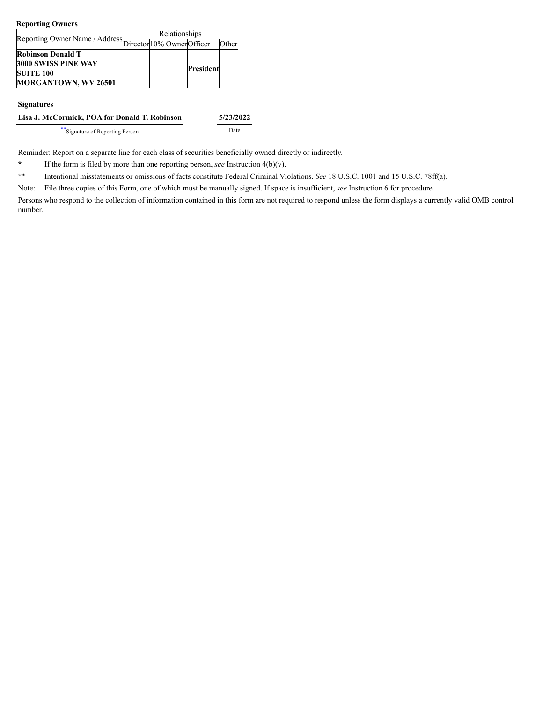#### **Reporting Owners**

|                                                              | Relationships |  |           |       |  |  |  |  |
|--------------------------------------------------------------|---------------|--|-----------|-------|--|--|--|--|
| Reporting Owner Name / Address<br>Director 10% Owner Officer |               |  |           | Other |  |  |  |  |
| <b>Robinson Donald T</b>                                     |               |  |           |       |  |  |  |  |
| 3000 SWISS PINE WAY                                          |               |  | President |       |  |  |  |  |
| <b>SUITE 100</b>                                             |               |  |           |       |  |  |  |  |
| MORGANTOWN, WV 26501                                         |               |  |           |       |  |  |  |  |

#### **Signatures**

### **Lisa J. McCormick, POA for Donald T. Robinson 5/23/2022**

[\\*\\*](#page-2-1)Signature of Reporting Person Date

Reminder: Report on a separate line for each class of securities beneficially owned directly or indirectly.

<span id="page-2-0"></span>**\*** If the form is filed by more than one reporting person, *see* Instruction 4(b)(v).

<span id="page-2-1"></span>**\*\*** Intentional misstatements or omissions of facts constitute Federal Criminal Violations. *See* 18 U.S.C. 1001 and 15 U.S.C. 78ff(a).

Note: File three copies of this Form, one of which must be manually signed. If space is insufficient, *see* Instruction 6 for procedure.

Persons who respond to the collection of information contained in this form are not required to respond unless the form displays a currently valid OMB control number.